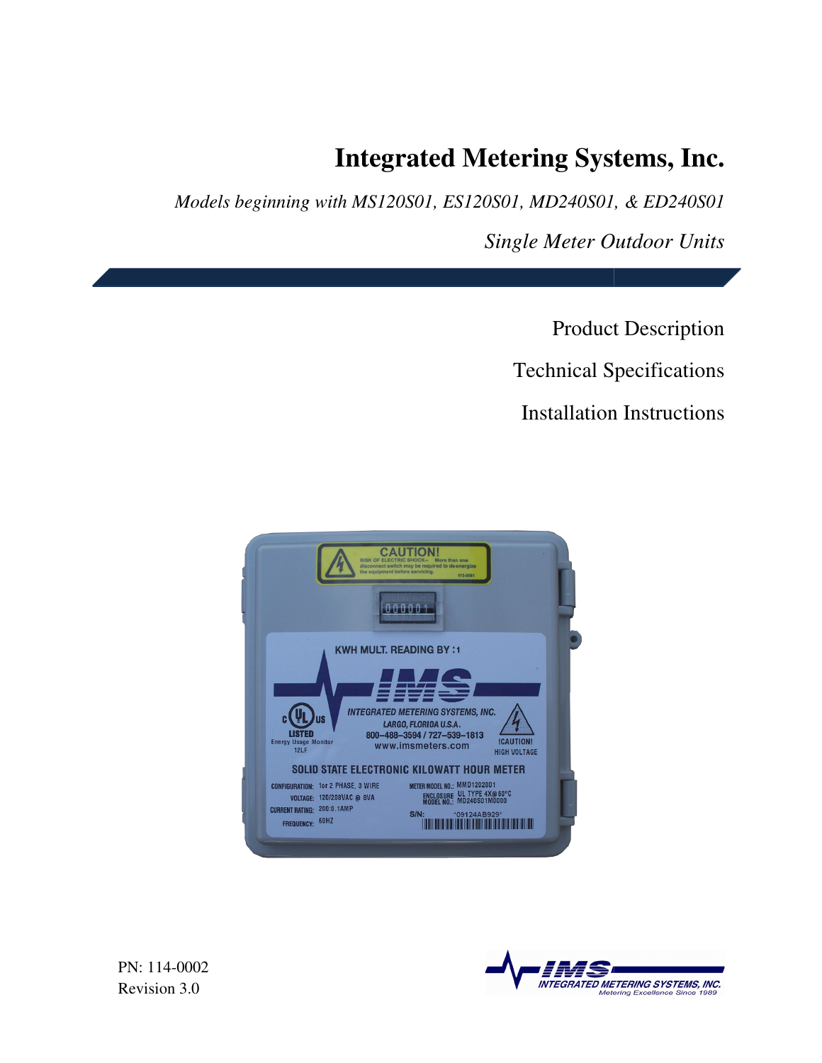# **Integrated Metering Systems, Inc. Integrated Metering**

*Models beginning with MS120S01, ES120S01, MD240S01, & ED240S01* 

 *Single Meter Outdoor Units*

Product Description Technical Specifications **Installation Instructions** Product Description<br>
Technical Specifications<br>
Installation Instructions



PN: 114-0002 Revision 3.0

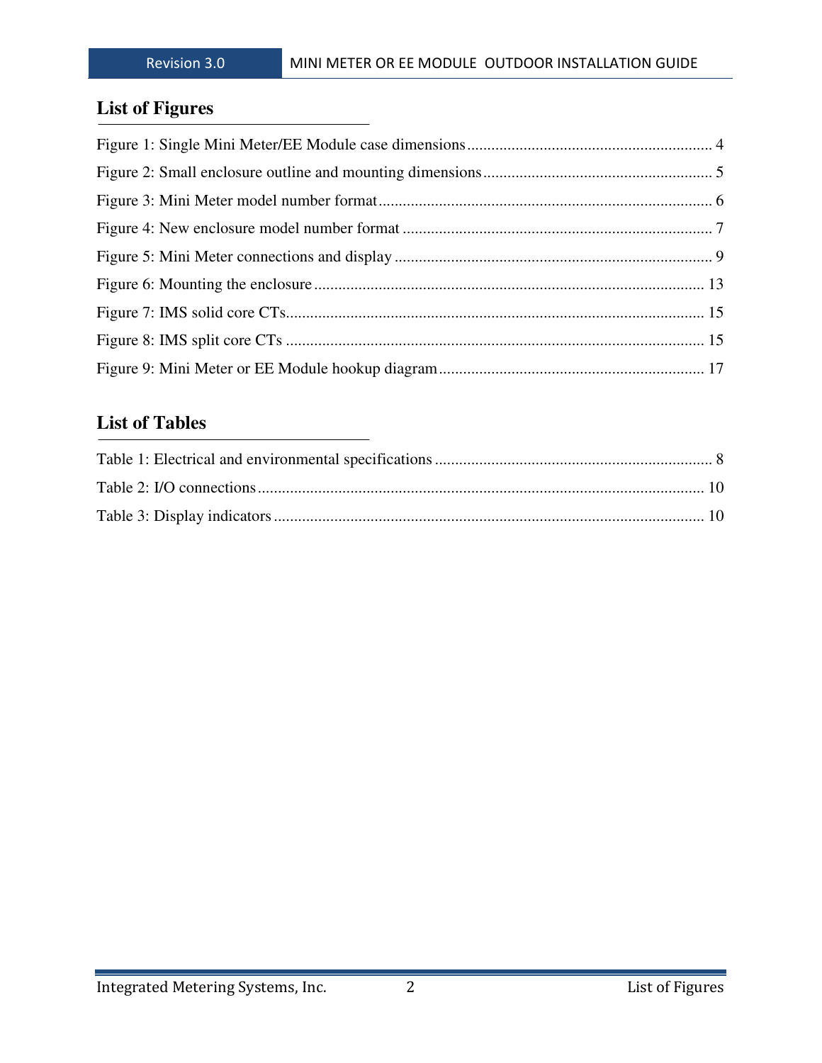## **List of Figures**

## **List of Tables**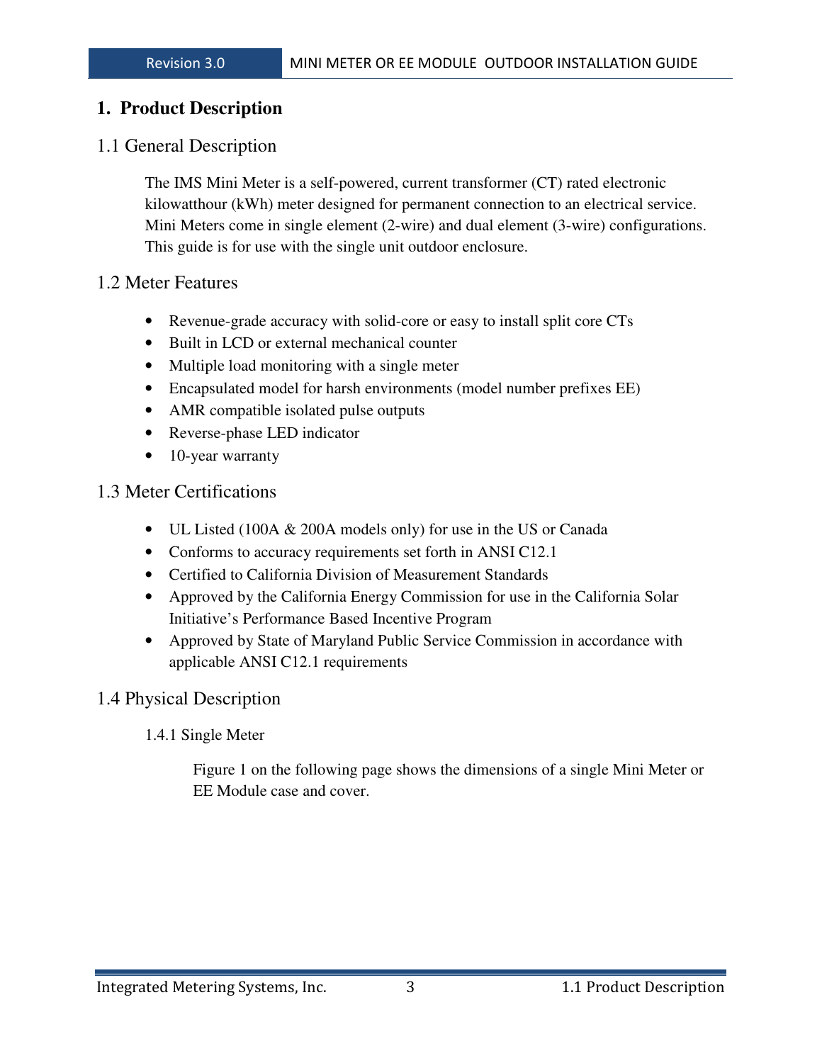## **1. Product Description**

## 1.1 General Description

The IMS Mini Meter is a self-powered, current transformer (CT) rated electronic kilowatthour (kWh) meter designed for permanent connection to an electrical service. Mini Meters come in single element (2-wire) and dual element (3-wire) configurations. This guide is for use with the single unit outdoor enclosure.

#### 1.2 Meter Features

- Revenue-grade accuracy with solid-core or easy to install split core CTs
- Built in LCD or external mechanical counter
- Multiple load monitoring with a single meter
- Encapsulated model for harsh environments (model number prefixes EE)
- AMR compatible isolated pulse outputs
- Reverse-phase LED indicator
- 10-year warranty

## 1.3 Meter Certifications

- UL Listed (100A & 200A models only) for use in the US or Canada
- Conforms to accuracy requirements set forth in ANSI C12.1
- Certified to California Division of Measurement Standards
- Approved by the California Energy Commission for use in the California Solar Initiative's Performance Based Incentive Program
- Approved by State of Maryland Public Service Commission in accordance with applicable ANSI C12.1 requirements

## 1.4 Physical Description

#### 1.4.1 Single Meter

Figure 1 on the following page shows the dimensions of a single Mini Meter or EE Module case and cover.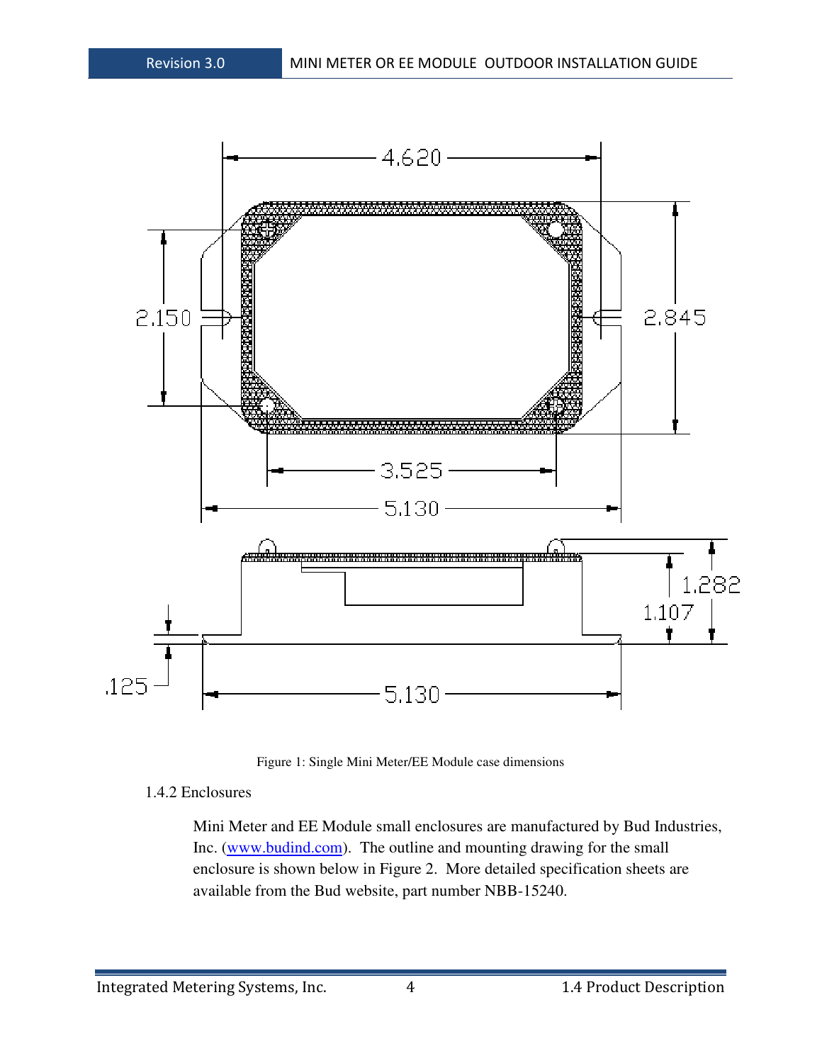

Figure 1: Single Mini Meter/EE Module case dimensions

#### 1.4.2 Enclosures

Mini Meter and EE Module small enclosures are manufactured by Bud Industries, Inc. (www.budind.com). The outline and mounting drawing for the small enclosure is shown below in Figure 2. More detailed specification sheets are available from the Bud website, part number NBB-15240.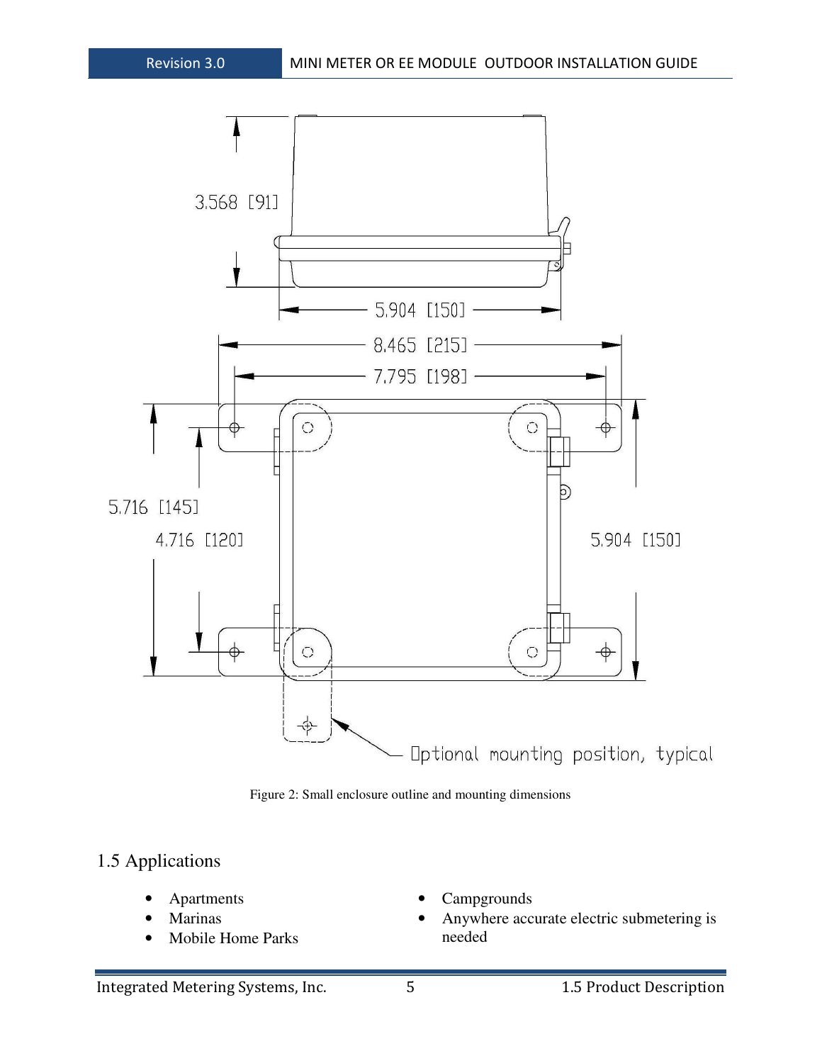

Figure 2: Small enclosure outline and mounting dimensions

## 1.5 Applications

- **Apartments**
- **Marinas**
- Mobile Home Parks
- Campgrounds
- Anywhere accurate electric submetering is needed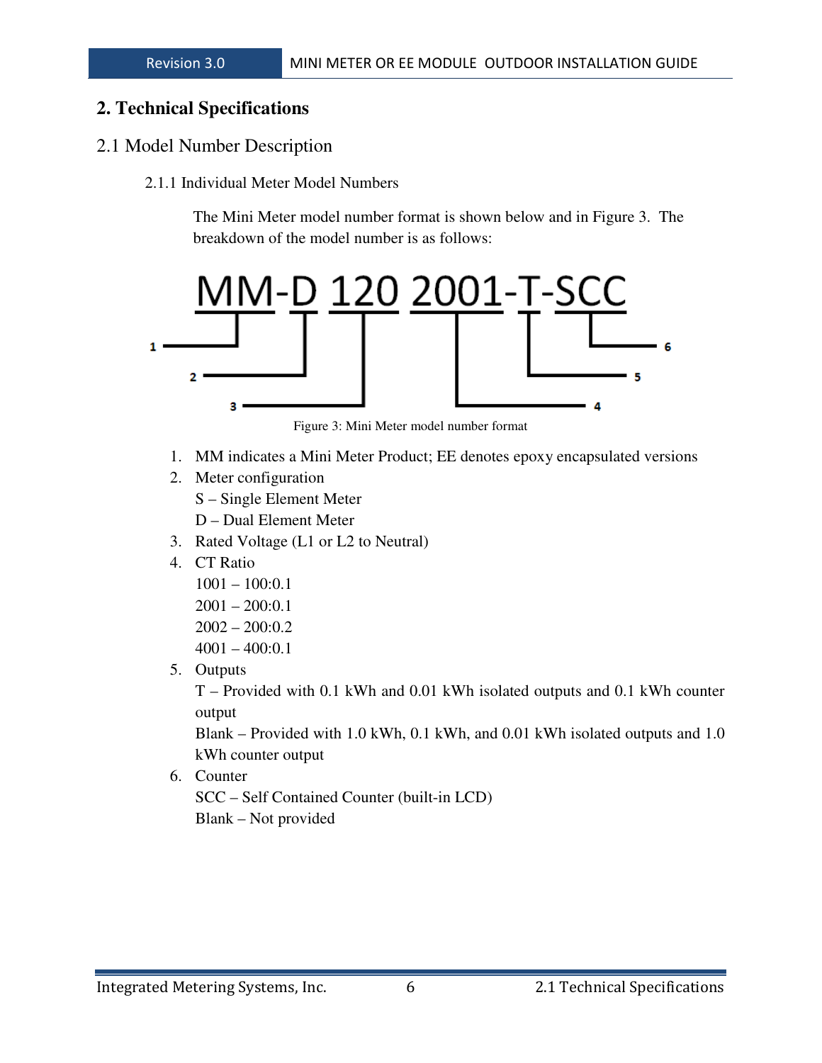### **2. Technical Specifications**

### 2.1 Model Number Description

2.1.1 Individual Meter Model Numbers

The Mini Meter model number format is shown below and in Figure 3. The breakdown of the model number is as follows:



Figure 3: Mini Meter model number format

- 1. MM indicates a Mini Meter Product; EE denotes epoxy encapsulated versions
- 2. Meter configuration
	- S Single Element Meter
	- D Dual Element Meter
- 3. Rated Voltage (L1 or L2 to Neutral)
- 4. CT Ratio
	- 1001 100:0.1
	- 2001 200:0.1
	- 2002 200:0.2
	- $4001 400:0.1$
- 5. Outputs

T – Provided with 0.1 kWh and 0.01 kWh isolated outputs and 0.1 kWh counter output

Blank – Provided with 1.0 kWh, 0.1 kWh, and 0.01 kWh isolated outputs and 1.0 kWh counter output

6. Counter

SCC – Self Contained Counter (built-in LCD) Blank – Not provided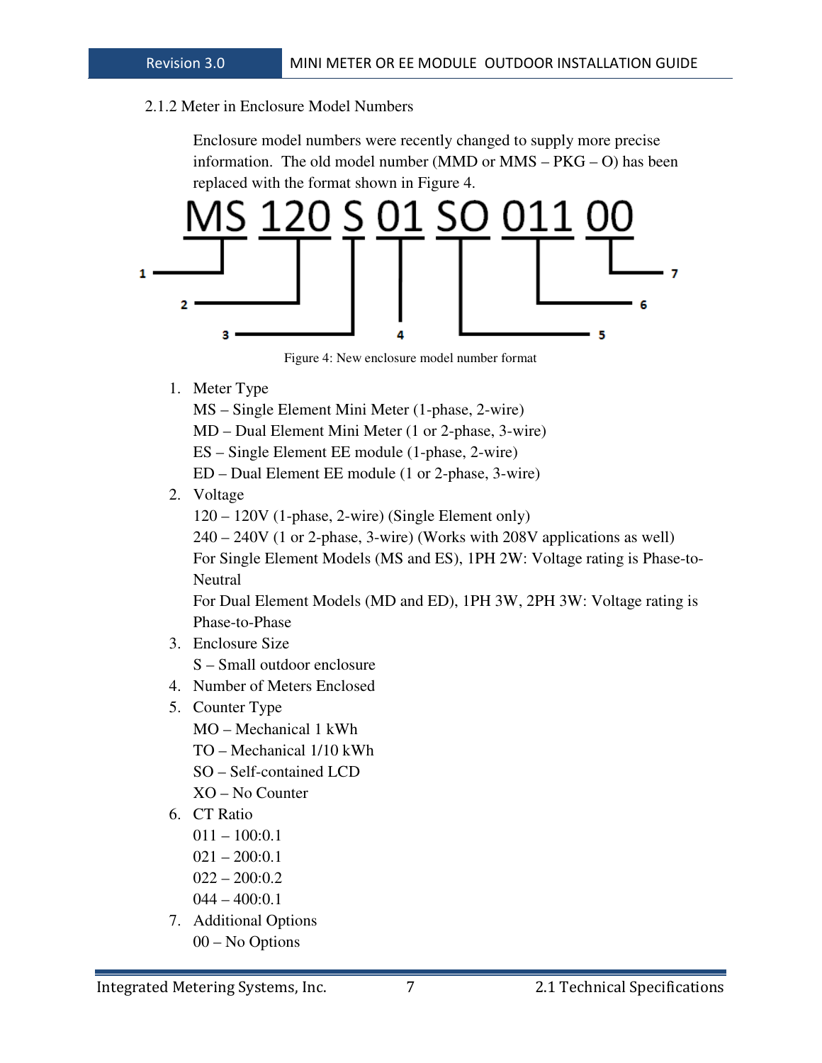#### 2.1.2 Meter in Enclosure Model Numbers

Enclosure model numbers were recently changed to supply more precise information. The old model number (MMD or MMS – PKG – O) has been replaced with the format shown in Figure 4.



Figure 4: New enclosure model number format

- 1. Meter Type
	- MS Single Element Mini Meter (1-phase, 2-wire)

MD – Dual Element Mini Meter (1 or 2-phase, 3-wire)

ES – Single Element EE module (1-phase, 2-wire)

- ED Dual Element EE module (1 or 2-phase, 3-wire)
- 2. Voltage

120 – 120V (1-phase, 2-wire) (Single Element only)

240 – 240V (1 or 2-phase, 3-wire) (Works with 208V applications as well) For Single Element Models (MS and ES), 1PH 2W: Voltage rating is Phase-to-**Neutral** 

For Dual Element Models (MD and ED), 1PH 3W, 2PH 3W: Voltage rating is Phase-to-Phase

- 3. Enclosure Size S – Small outdoor enclosure
- 4. Number of Meters Enclosed
- 5. Counter Type
	- MO Mechanical 1 kWh
	- TO Mechanical 1/10 kWh
	- SO Self-contained LCD
	- XO No Counter
- 6. CT Ratio
	- 011 100:0.1
	- $021 200:0.1$
	- $022 200:0.2$
	- 044 400:0.1
- 7. Additional Options 00 – No Options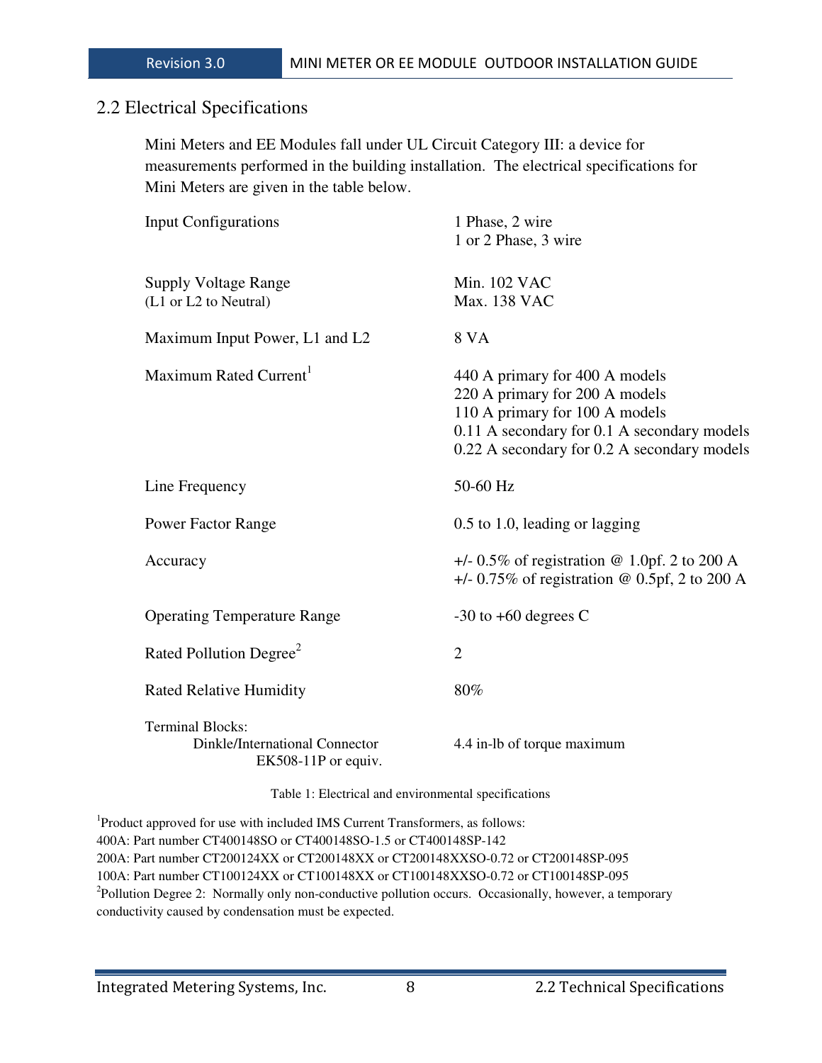#### 2.2 Electrical Specifications

Mini Meters and EE Modules fall under UL Circuit Category III: a device for measurements performed in the building installation. The electrical specifications for Mini Meters are given in the table below.

| Input Configurations                                                             | 1 Phase, 2 wire<br>1 or 2 Phase, 3 wire                                                                                                                                                          |
|----------------------------------------------------------------------------------|--------------------------------------------------------------------------------------------------------------------------------------------------------------------------------------------------|
| <b>Supply Voltage Range</b><br>(L1 or L2 to Neutral)                             | Min. 102 VAC<br>Max. 138 VAC                                                                                                                                                                     |
| Maximum Input Power, L1 and L2                                                   | 8 VA                                                                                                                                                                                             |
| Maximum Rated Current <sup>1</sup>                                               | 440 A primary for 400 A models<br>220 A primary for 200 A models<br>110 A primary for 100 A models<br>0.11 A secondary for 0.1 A secondary models<br>0.22 A secondary for 0.2 A secondary models |
| Line Frequency                                                                   | 50-60 Hz                                                                                                                                                                                         |
| <b>Power Factor Range</b>                                                        | $0.5$ to 1.0, leading or lagging                                                                                                                                                                 |
| Accuracy                                                                         | $+/- 0.5\%$ of registration @ 1.0pf. 2 to 200 A<br>$+/- 0.75\%$ of registration @ 0.5pf, 2 to 200 A                                                                                              |
| <b>Operating Temperature Range</b>                                               | $-30$ to $+60$ degrees C                                                                                                                                                                         |
| Rated Pollution Degree <sup>2</sup>                                              | $\overline{2}$                                                                                                                                                                                   |
| <b>Rated Relative Humidity</b>                                                   | 80%                                                                                                                                                                                              |
| <b>Terminal Blocks:</b><br>Dinkle/International Connector<br>EK508-11P or equiv. | 4.4 in-lb of torque maximum                                                                                                                                                                      |

Table 1: Electrical and environmental specifications

<sup>1</sup>Product approved for use with included IMS Current Transformers, as follows: 400A: Part number CT400148SO or CT400148SO-1.5 or CT400148SP-142 200A: Part number CT200124XX or CT200148XX or CT200148XXSO-0.72 or CT200148SP-095 100A: Part number CT100124XX or CT100148XX or CT100148XXSO-0.72 or CT100148SP-095 <sup>2</sup>Pollution Degree 2: Normally only non-conductive pollution occurs. Occasionally, however, a temporary conductivity caused by condensation must be expected.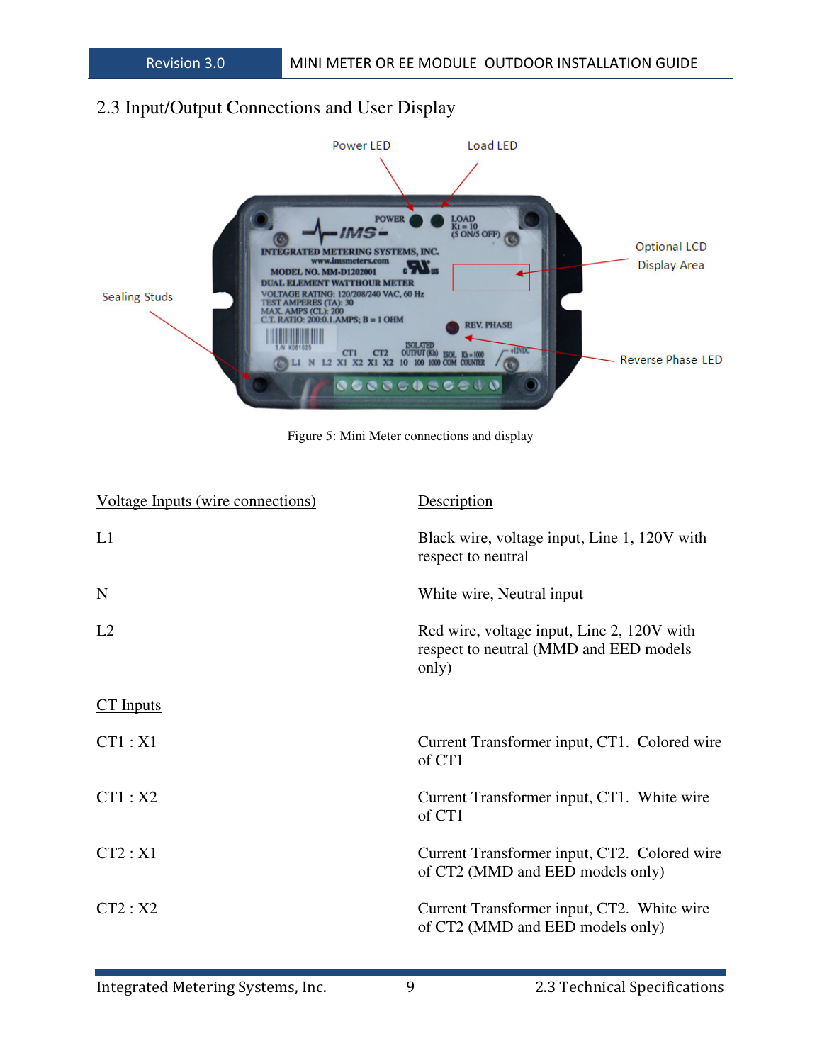## 2.3 Input/Output Connections and User Display



Figure 5: Mini Meter connections and display

| <b>Voltage Inputs (wire connections)</b> | <b>Description</b>                                                                            |
|------------------------------------------|-----------------------------------------------------------------------------------------------|
| L1                                       | Black wire, voltage input, Line 1, 120V with<br>respect to neutral                            |
| N                                        | White wire, Neutral input                                                                     |
| L2                                       | Red wire, voltage input, Line 2, 120V with<br>respect to neutral (MMD and EED models<br>only) |
| $CT$ Inputs                              |                                                                                               |
| CT1: X1                                  | Current Transformer input, CT1. Colored wire<br>of CT1                                        |
| CT1: X2                                  | Current Transformer input, CT1. White wire<br>of CT1                                          |
| CT2: X1                                  | Current Transformer input, CT2. Colored wire<br>of CT2 (MMD and EED models only)              |
| CT2: X2                                  | Current Transformer input, CT2. White wire<br>of CT2 (MMD and EED models only)                |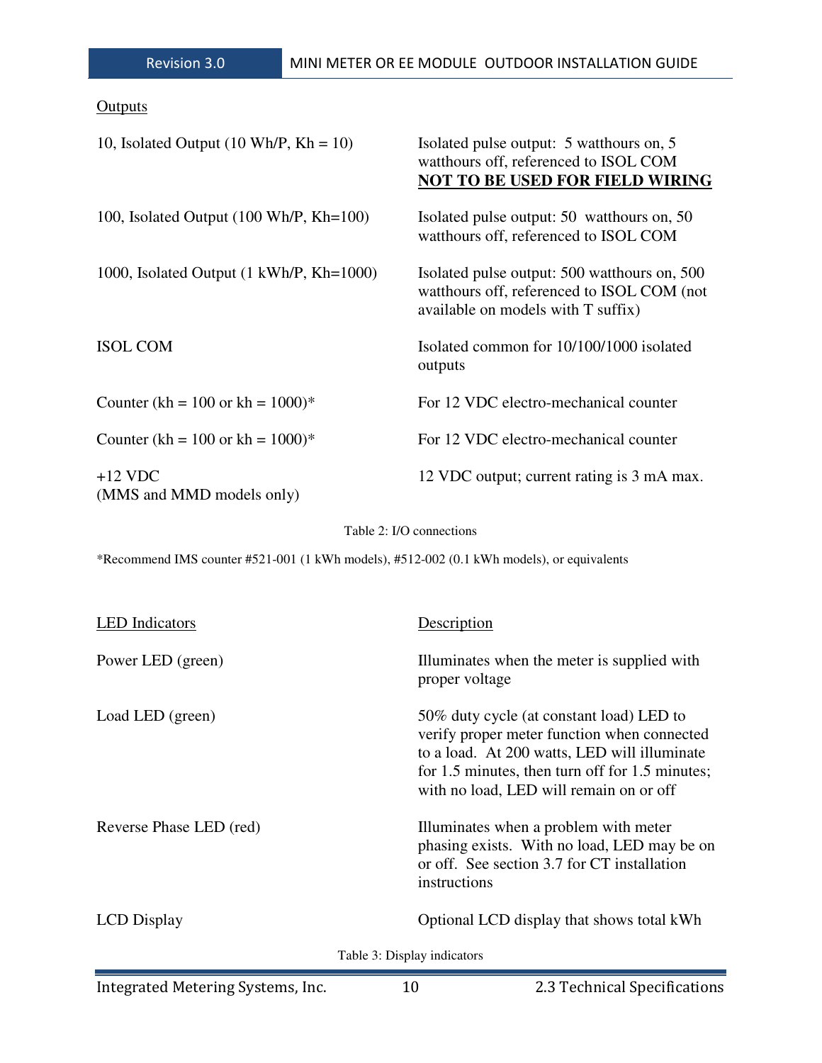| <u>Outputs</u>                                          |                                                                                                                                  |
|---------------------------------------------------------|----------------------------------------------------------------------------------------------------------------------------------|
| 10, Isolated Output $(10 \text{ Wh/P}, \text{Kh} = 10)$ | Isolated pulse output: 5 watthours on, 5<br>watthours off, referenced to ISOL COM<br><b>NOT TO BE USED FOR FIELD WIRING</b>      |
| 100, Isolated Output (100 Wh/P, Kh=100)                 | Isolated pulse output: 50 watthours on, 50<br>watthours off, referenced to ISOL COM                                              |
| 1000, Isolated Output (1 kWh/P, Kh=1000)                | Isolated pulse output: 500 watthours on, 500<br>watthours off, referenced to ISOL COM (not<br>available on models with T suffix) |
| <b>ISOL COM</b>                                         | Isolated common for 10/100/1000 isolated<br>outputs                                                                              |
| Counter (kh = $100$ or kh = $1000$ )*                   | For 12 VDC electro-mechanical counter                                                                                            |
| Counter (kh = $100$ or kh = $1000$ )*                   | For 12 VDC electro-mechanical counter                                                                                            |
| $+12$ VDC<br>(MMS and MMD models only)                  | 12 VDC output; current rating is 3 mA max.                                                                                       |

#### Table 2: I/O connections

\*Recommend IMS counter #521-001 (1 kWh models), #512-002 (0.1 kWh models), or equivalents

| <b>LED</b> Indicators   | Description                                                                                                                                                                                                                           |
|-------------------------|---------------------------------------------------------------------------------------------------------------------------------------------------------------------------------------------------------------------------------------|
| Power LED (green)       | Illuminates when the meter is supplied with<br>proper voltage                                                                                                                                                                         |
| Load LED (green)        | 50% duty cycle (at constant load) LED to<br>verify proper meter function when connected<br>to a load. At 200 watts, LED will illuminate<br>for 1.5 minutes, then turn off for 1.5 minutes;<br>with no load, LED will remain on or off |
| Reverse Phase LED (red) | Illuminates when a problem with meter<br>phasing exists. With no load, LED may be on<br>or off. See section 3.7 for CT installation<br>instructions                                                                                   |
| <b>LCD</b> Display      | Optional LCD display that shows total kWh                                                                                                                                                                                             |
|                         | Table 3: Display indicators                                                                                                                                                                                                           |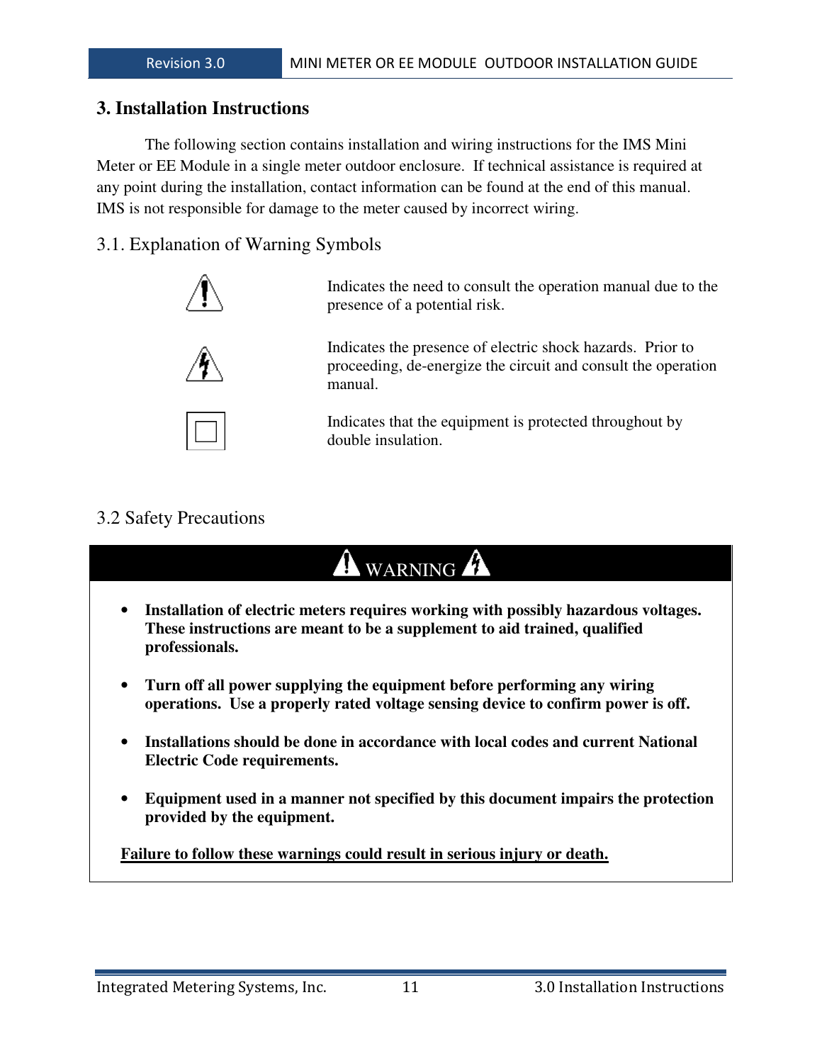#### **3. Installation Instructions**

 The following section contains installation and wiring instructions for the IMS Mini Meter or EE Module in a single meter outdoor enclosure. If technical assistance is required at any point during the installation, contact information can be found at the end of this manual. IMS is not responsible for damage to the meter caused by incorrect wiring.

### 3.1. Explanation of Warning Symbols



Indicates the need to consult the operation manual due to the presence of a potential risk.

Indicates the presence of electric shock hazards. Prior to proceeding, de-energize the circuit and consult the operation manual.

Indicates that the equipment is protected throughout by double insulation.

## 3.2 Safety Precautions

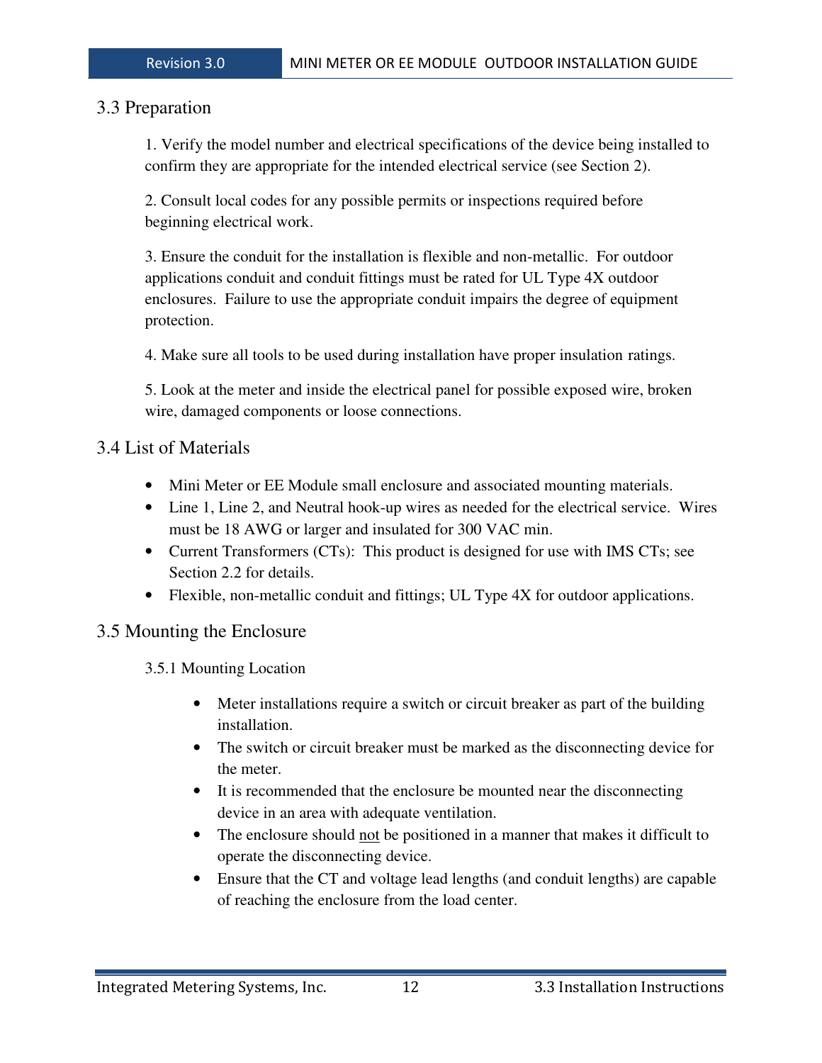#### 3.3 Preparation

1. Verify the model number and electrical specifications of the device being installed to confirm they are appropriate for the intended electrical service (see Section 2).

 2. Consult local codes for any possible permits or inspections required before beginning electrical work.

3. Ensure the conduit for the installation is flexible and non-metallic. For outdoor applications conduit and conduit fittings must be rated for UL Type 4X outdoor enclosures. Failure to use the appropriate conduit impairs the degree of equipment protection.

4. Make sure all tools to be used during installation have proper insulation ratings.

5. Look at the meter and inside the electrical panel for possible exposed wire, broken wire, damaged components or loose connections.

#### 3.4 List of Materials

- Mini Meter or EE Module small enclosure and associated mounting materials.
- Line 1, Line 2, and Neutral hook-up wires as needed for the electrical service. Wires must be 18 AWG or larger and insulated for 300 VAC min.
- Current Transformers (CTs): This product is designed for use with IMS CTs; see Section 2.2 for details.
- Flexible, non-metallic conduit and fittings; UL Type 4X for outdoor applications.

## 3.5 Mounting the Enclosure

3.5.1 Mounting Location

- Meter installations require a switch or circuit breaker as part of the building installation.
- The switch or circuit breaker must be marked as the disconnecting device for the meter.
- It is recommended that the enclosure be mounted near the disconnecting device in an area with adequate ventilation.
- The enclosure should not be positioned in a manner that makes it difficult to operate the disconnecting device.
- Ensure that the CT and voltage lead lengths (and conduit lengths) are capable of reaching the enclosure from the load center.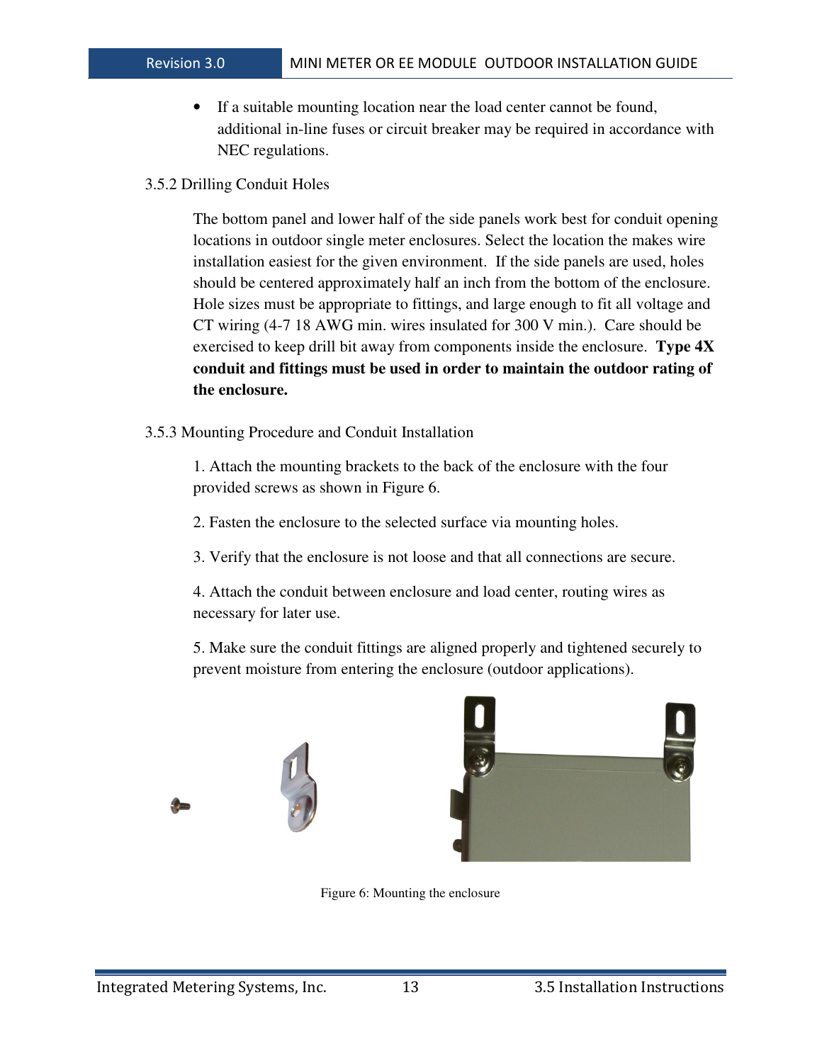- If a suitable mounting location near the load center cannot be found, additional in-line fuses or circuit breaker may be required in accordance with NEC regulations.
- 3.5.2 Drilling Conduit Holes

The bottom panel and lower half of the side panels work best for conduit opening locations in outdoor single meter enclosures. Select the location the makes wire installation easiest for the given environment. If the side panels are used, holes should be centered approximately half an inch from the bottom of the enclosure. Hole sizes must be appropriate to fittings, and large enough to fit all voltage and CT wiring (4-7 18 AWG min. wires insulated for 300 V min.). Care should be exercised to keep drill bit away from components inside the enclosure. **Type 4X conduit and fittings must be used in order to maintain the outdoor rating of the enclosure.** 

3.5.3 Mounting Procedure and Conduit Installation

1. Attach the mounting brackets to the back of the enclosure with the four provided screws as shown in Figure 6.

2. Fasten the enclosure to the selected surface via mounting holes.

3. Verify that the enclosure is not loose and that all connections are secure.

4. Attach the conduit between enclosure and load center, routing wires as necessary for later use.

5. Make sure the conduit fittings are aligned properly and tightened securely to prevent moisture from entering the enclosure (outdoor applications).





Figure 6: Mounting the enclosure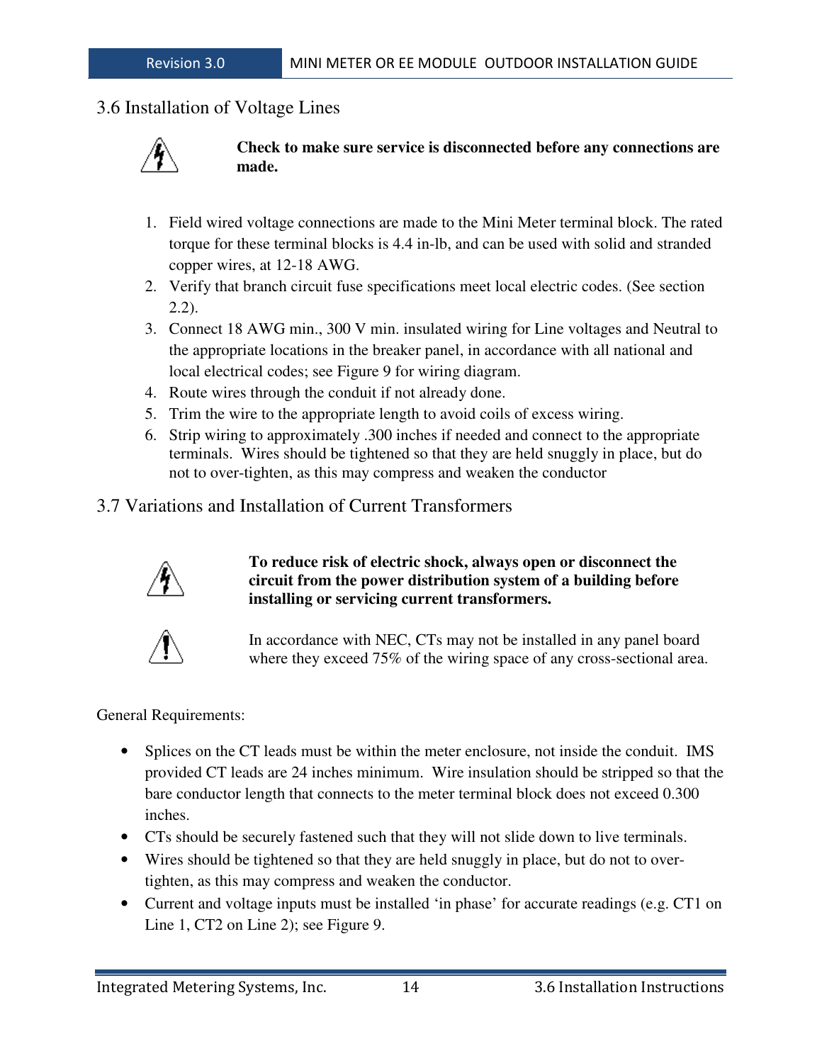## 3.6 Installation of Voltage Lines



**Check to make sure service is disconnected before any connections are made.** 

- 1. Field wired voltage connections are made to the Mini Meter terminal block. The rated torque for these terminal blocks is 4.4 in-lb, and can be used with solid and stranded copper wires, at 12-18 AWG.
- 2. Verify that branch circuit fuse specifications meet local electric codes. (See section 2.2).
- 3. Connect 18 AWG min., 300 V min. insulated wiring for Line voltages and Neutral to the appropriate locations in the breaker panel, in accordance with all national and local electrical codes; see Figure 9 for wiring diagram.
- 4. Route wires through the conduit if not already done.
- 5. Trim the wire to the appropriate length to avoid coils of excess wiring.
- 6. Strip wiring to approximately .300 inches if needed and connect to the appropriate terminals. Wires should be tightened so that they are held snuggly in place, but do not to over-tighten, as this may compress and weaken the conductor
- 3.7 Variations and Installation of Current Transformers



#### **To reduce risk of electric shock, always open or disconnect the circuit from the power distribution system of a building before installing or servicing current transformers.**



In accordance with NEC, CTs may not be installed in any panel board where they exceed 75% of the wiring space of any cross-sectional area.

General Requirements:

- Splices on the CT leads must be within the meter enclosure, not inside the conduit. IMS provided CT leads are 24 inches minimum. Wire insulation should be stripped so that the bare conductor length that connects to the meter terminal block does not exceed 0.300 inches.
- CTs should be securely fastened such that they will not slide down to live terminals.
- Wires should be tightened so that they are held snuggly in place, but do not to overtighten, as this may compress and weaken the conductor.
- Current and voltage inputs must be installed 'in phase' for accurate readings (e.g. CT1 on Line 1, CT2 on Line 2); see Figure 9.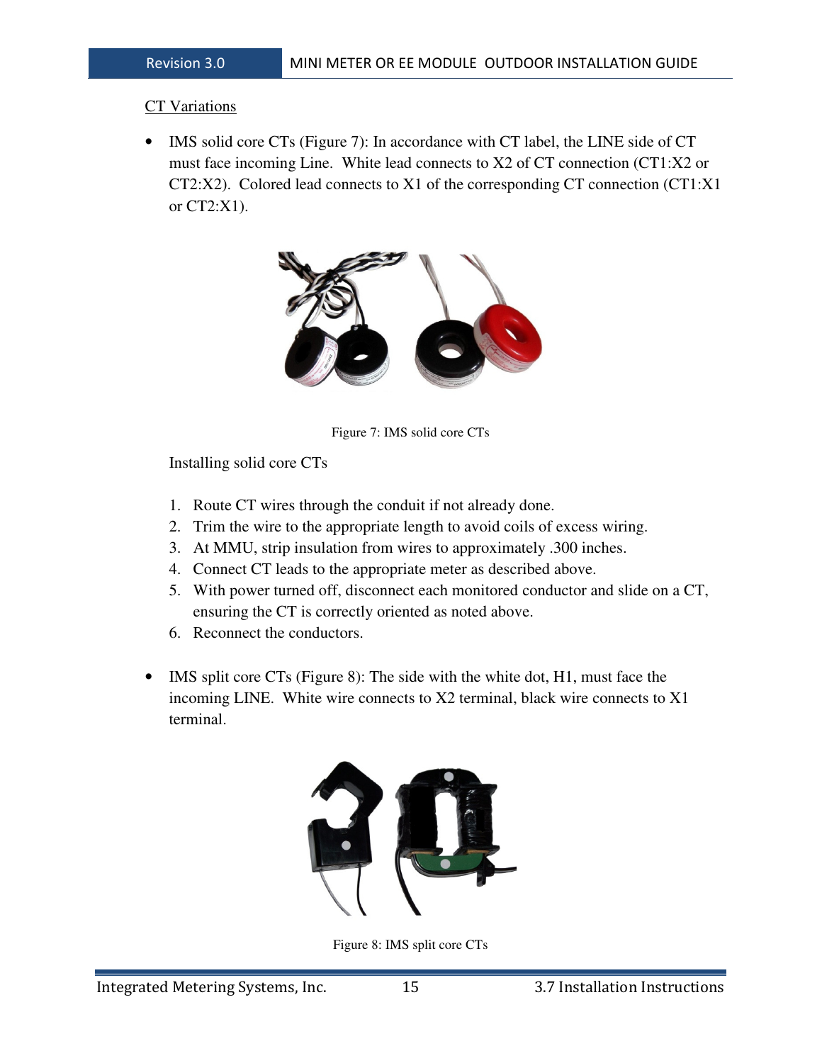#### CT Variations

• IMS solid core CTs (Figure 7): In accordance with CT label, the LINE side of CT must face incoming Line. White lead connects to X2 of CT connection (CT1:X2 or CT2:X2). Colored lead connects to X1 of the corresponding CT connection (CT1:X1 or CT2:X1).



Figure 7: IMS solid core CTs

Installing solid core CTs

- 1. Route CT wires through the conduit if not already done.
- 2. Trim the wire to the appropriate length to avoid coils of excess wiring.
- 3. At MMU, strip insulation from wires to approximately .300 inches.
- 4. Connect CT leads to the appropriate meter as described above.
- 5. With power turned off, disconnect each monitored conductor and slide on a CT, ensuring the CT is correctly oriented as noted above.
- 6. Reconnect the conductors.
- IMS split core CTs (Figure 8): The side with the white dot, H1, must face the incoming LINE. White wire connects to X2 terminal, black wire connects to X1 terminal.



Figure 8: IMS split core CTs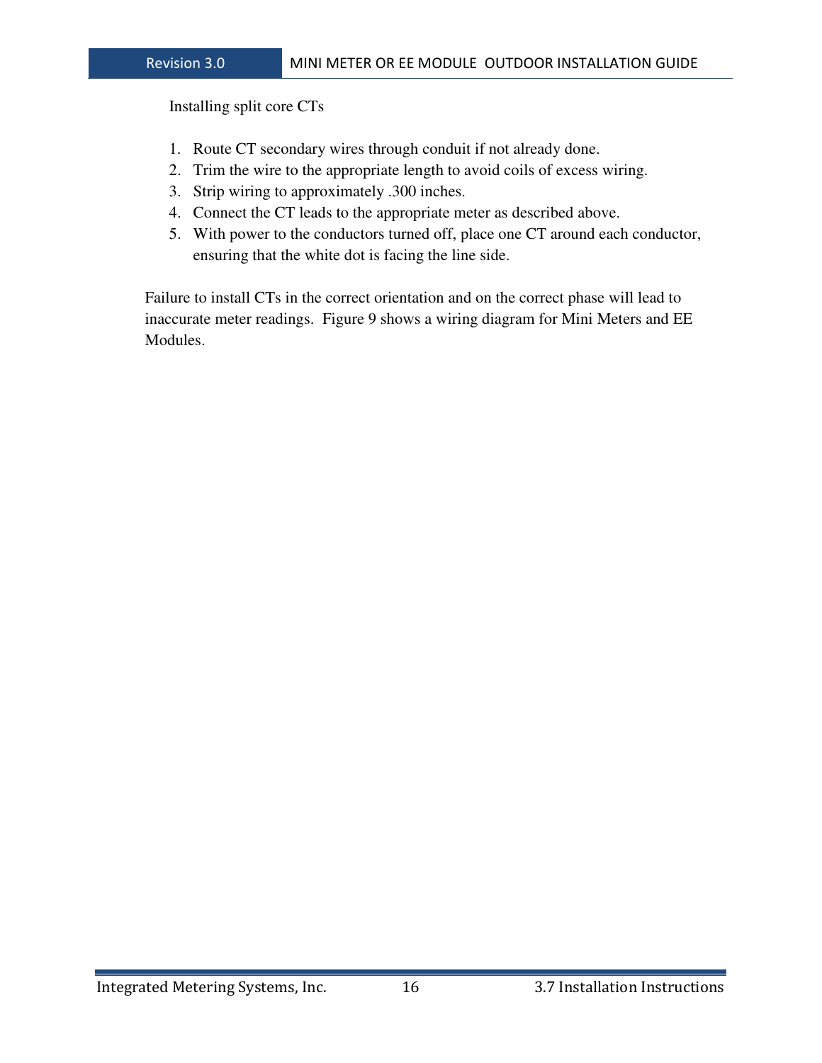Installing split core CTs

- 1. Route CT secondary wires through conduit if not already done.
- 2. Trim the wire to the appropriate length to avoid coils of excess wiring.
- 3. Strip wiring to approximately .300 inches.
- 4. Connect the CT leads to the appropriate meter as described above.
- 5. With power to the conductors turned off, place one CT around each conductor, ensuring that the white dot is facing the line side.

Failure to install CTs in the correct orientation and on the correct phase will lead to inaccurate meter readings. Figure 9 shows a wiring diagram for Mini Meters and EE Modules.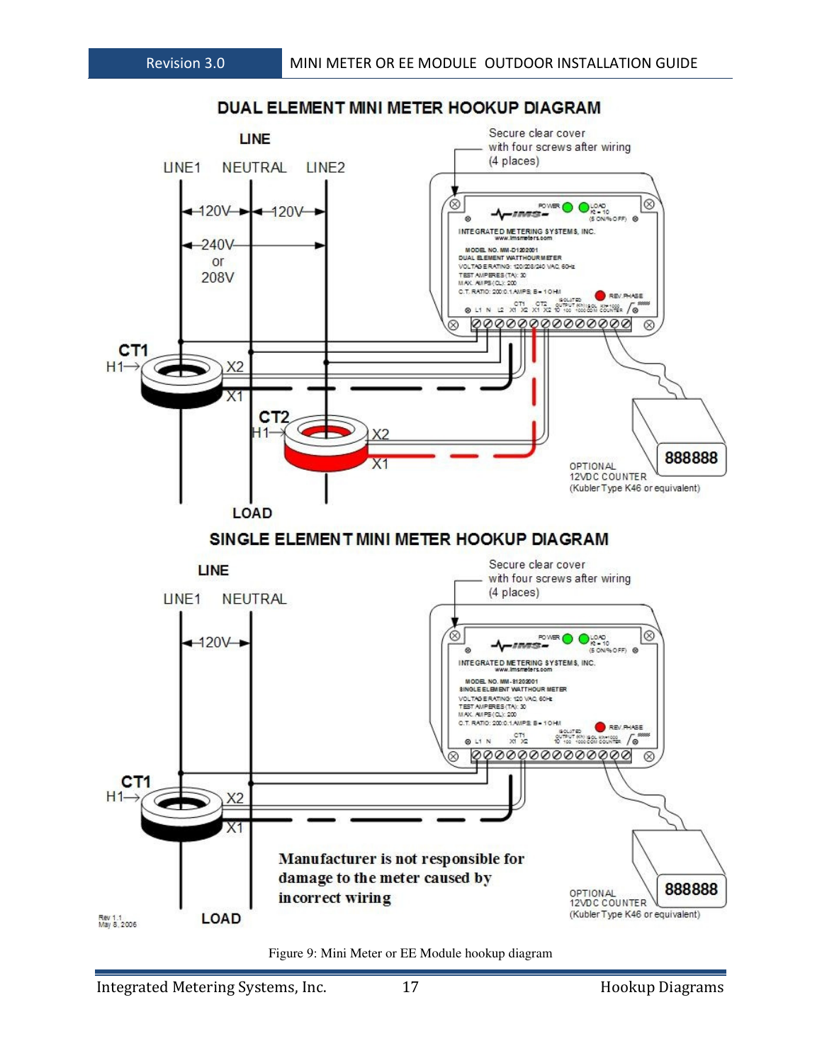

Figure 9: Mini Meter or EE Module hookup diagram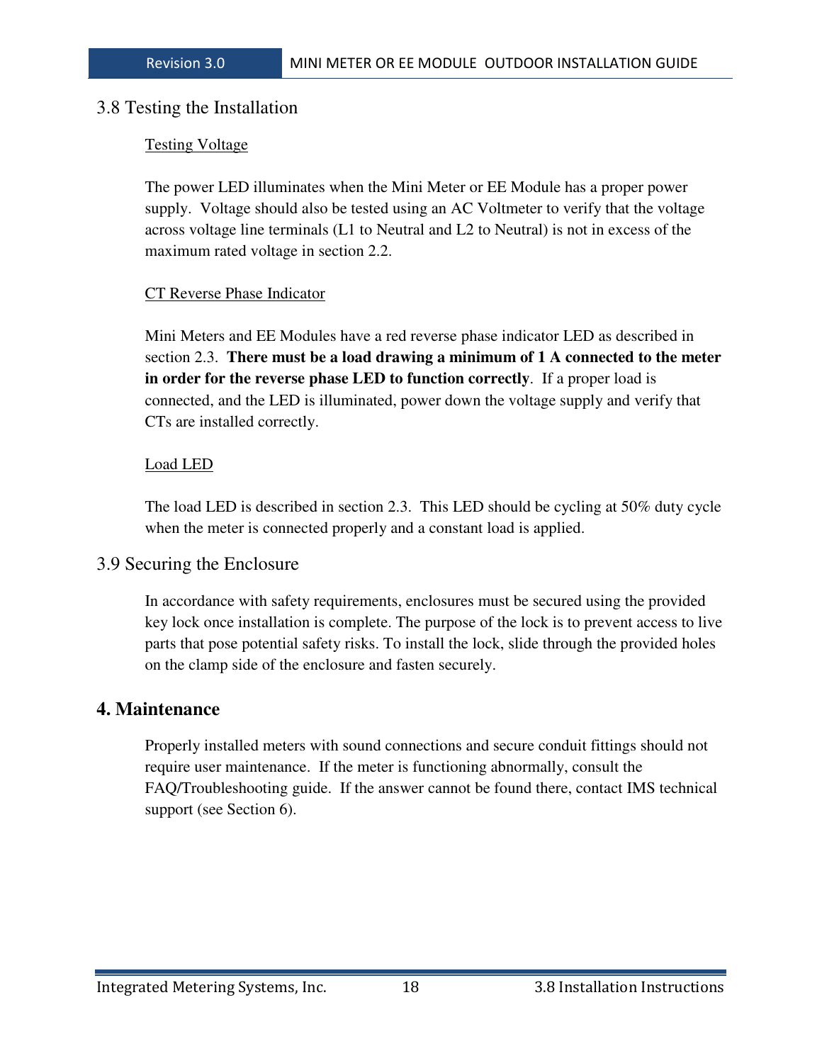#### 3.8 Testing the Installation

#### Testing Voltage

The power LED illuminates when the Mini Meter or EE Module has a proper power supply. Voltage should also be tested using an AC Voltmeter to verify that the voltage across voltage line terminals (L1 to Neutral and L2 to Neutral) is not in excess of the maximum rated voltage in section 2.2.

#### CT Reverse Phase Indicator

Mini Meters and EE Modules have a red reverse phase indicator LED as described in section 2.3. **There must be a load drawing a minimum of 1 A connected to the meter in order for the reverse phase LED to function correctly**. If a proper load is connected, and the LED is illuminated, power down the voltage supply and verify that CTs are installed correctly.

#### Load LED

The load LED is described in section 2.3. This LED should be cycling at 50% duty cycle when the meter is connected properly and a constant load is applied.

#### 3.9 Securing the Enclosure

In accordance with safety requirements, enclosures must be secured using the provided key lock once installation is complete. The purpose of the lock is to prevent access to live parts that pose potential safety risks. To install the lock, slide through the provided holes on the clamp side of the enclosure and fasten securely.

#### **4. Maintenance**

Properly installed meters with sound connections and secure conduit fittings should not require user maintenance. If the meter is functioning abnormally, consult the FAQ/Troubleshooting guide. If the answer cannot be found there, contact IMS technical support (see Section 6).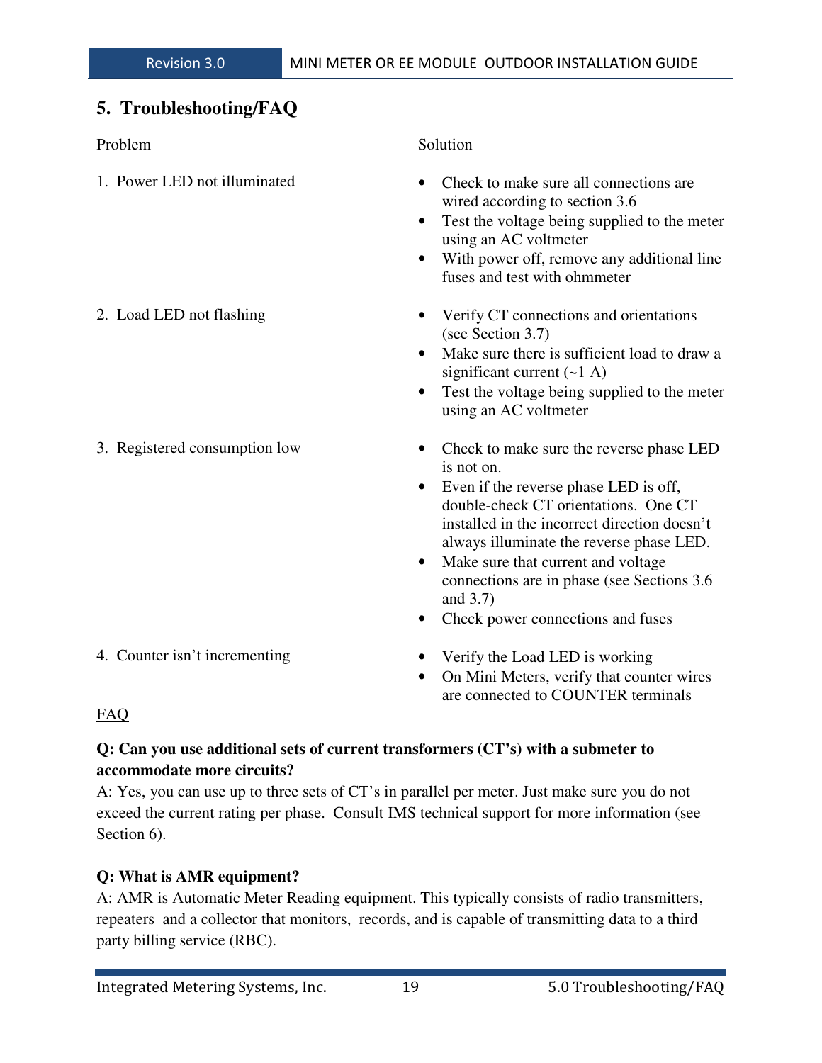## **5. Troubleshooting/FAQ**

| Problem                       | Solution                                                                                                                                                                                                                                                                                                                                                                                            |
|-------------------------------|-----------------------------------------------------------------------------------------------------------------------------------------------------------------------------------------------------------------------------------------------------------------------------------------------------------------------------------------------------------------------------------------------------|
| 1. Power LED not illuminated  | Check to make sure all connections are<br>wired according to section 3.6<br>Test the voltage being supplied to the meter<br>$\bullet$<br>using an AC voltmeter<br>With power off, remove any additional line<br>$\bullet$<br>fuses and test with ohmmeter                                                                                                                                           |
| 2. Load LED not flashing      | Verify CT connections and orientations<br>(see Section 3.7)<br>Make sure there is sufficient load to draw a<br>$\bullet$<br>significant current $(-1 \text{ A})$<br>Test the voltage being supplied to the meter<br>$\bullet$<br>using an AC voltmeter                                                                                                                                              |
| 3. Registered consumption low | Check to make sure the reverse phase LED<br>$\bullet$<br>is not on.<br>Even if the reverse phase LED is off,<br>$\bullet$<br>double-check CT orientations. One CT<br>installed in the incorrect direction doesn't<br>always illuminate the reverse phase LED.<br>Make sure that current and voltage<br>connections are in phase (see Sections 3.6)<br>and 3.7)<br>Check power connections and fuses |
| 4. Counter isn't incrementing | Verify the Load LED is working<br>On Mini Meters, verify that counter wires<br>$\bullet$                                                                                                                                                                                                                                                                                                            |

## FAQ

## **Q: Can you use additional sets of current transformers (CT's) with a submeter to accommodate more circuits?**

A: Yes, you can use up to three sets of CT's in parallel per meter. Just make sure you do not exceed the current rating per phase. Consult IMS technical support for more information (see Section 6).

## **Q: What is AMR equipment?**

A: AMR is Automatic Meter Reading equipment. This typically consists of radio transmitters, repeaters and a collector that monitors, records, and is capable of transmitting data to a third party billing service (RBC).

are connected to COUNTER terminals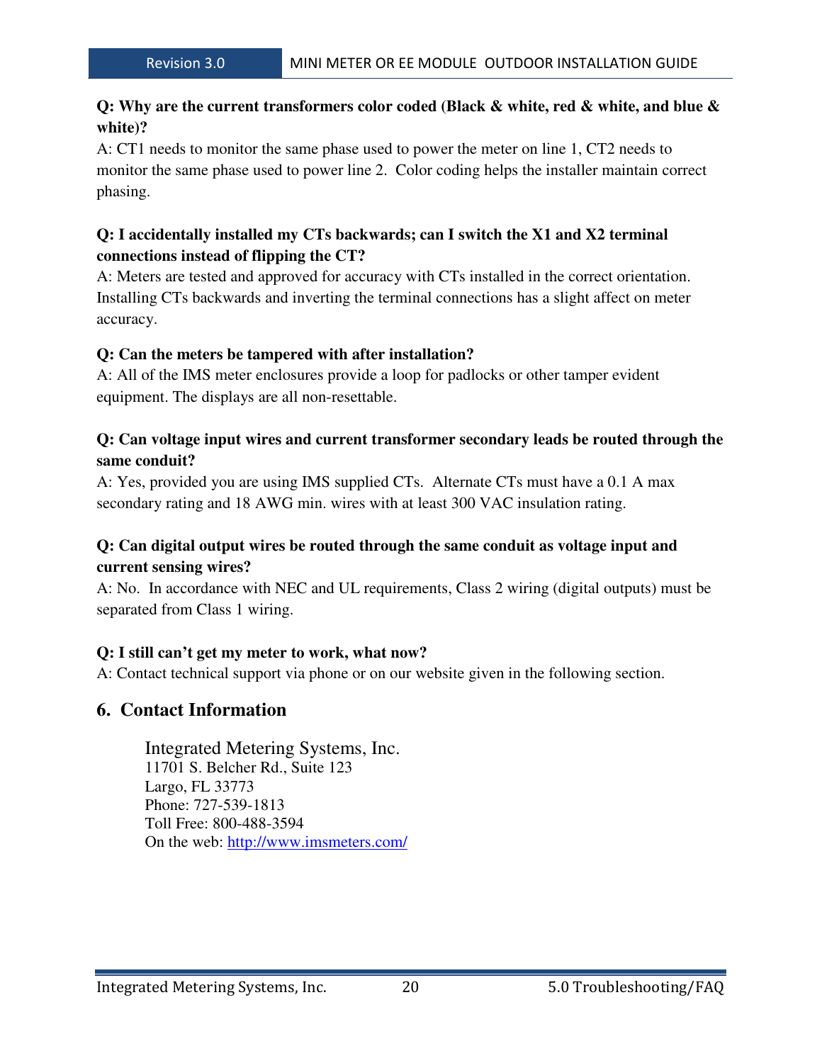### **Q: Why are the current transformers color coded (Black & white, red & white, and blue & white)?**

A: CT1 needs to monitor the same phase used to power the meter on line 1, CT2 needs to monitor the same phase used to power line 2. Color coding helps the installer maintain correct phasing.

### **Q: I accidentally installed my CTs backwards; can I switch the X1 and X2 terminal connections instead of flipping the CT?**

A: Meters are tested and approved for accuracy with CTs installed in the correct orientation. Installing CTs backwards and inverting the terminal connections has a slight affect on meter accuracy.

#### **Q: Can the meters be tampered with after installation?**

A: All of the IMS meter enclosures provide a loop for padlocks or other tamper evident equipment. The displays are all non-resettable.

#### **Q: Can voltage input wires and current transformer secondary leads be routed through the same conduit?**

A: Yes, provided you are using IMS supplied CTs. Alternate CTs must have a 0.1 A max secondary rating and 18 AWG min. wires with at least 300 VAC insulation rating.

#### **Q: Can digital output wires be routed through the same conduit as voltage input and current sensing wires?**

A: No. In accordance with NEC and UL requirements, Class 2 wiring (digital outputs) must be separated from Class 1 wiring.

#### **Q: I still can't get my meter to work, what now?**

A: Contact technical support via phone or on our website given in the following section.

#### **6. Contact Information**

 Integrated Metering Systems, Inc. 11701 S. Belcher Rd., Suite 123 Largo, FL 33773 Phone: 727-539-1813 Toll Free: 800-488-3594 On the web: http://www.imsmeters.com/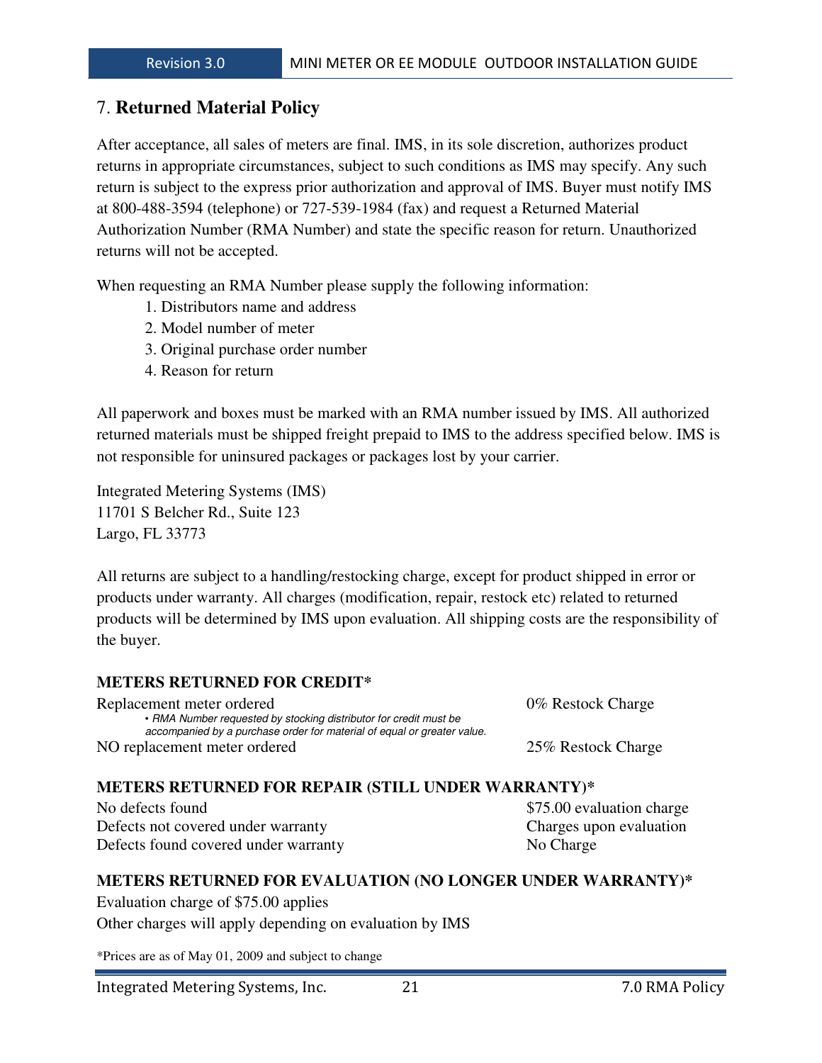#### 7. **Returned Material Policy**

After acceptance, all sales of meters are final. IMS, in its sole discretion, authorizes product returns in appropriate circumstances, subject to such conditions as IMS may specify. Any such return is subject to the express prior authorization and approval of IMS. Buyer must notify IMS at 800-488-3594 (telephone) or 727-539-1984 (fax) and request a Returned Material Authorization Number (RMA Number) and state the specific reason for return. Unauthorized returns will not be accepted.

When requesting an RMA Number please supply the following information:

- 1. Distributors name and address
- 2. Model number of meter
- 3. Original purchase order number
- 4. Reason for return

All paperwork and boxes must be marked with an RMA number issued by IMS. All authorized returned materials must be shipped freight prepaid to IMS to the address specified below. IMS is not responsible for uninsured packages or packages lost by your carrier.

Integrated Metering Systems (IMS) 11701 S Belcher Rd., Suite 123 Largo, FL 33773

All returns are subject to a handling/restocking charge, except for product shipped in error or products under warranty. All charges (modification, repair, restock etc) related to returned products will be determined by IMS upon evaluation. All shipping costs are the responsibility of the buyer.

#### **METERS RETURNED FOR CREDIT\***

| Replacement meter ordered                                                                                                                    | 0% Restock Charge  |
|----------------------------------------------------------------------------------------------------------------------------------------------|--------------------|
| • RMA Number requested by stocking distributor for credit must be<br>accompanied by a purchase order for material of equal or greater value. |                    |
| NO replacement meter ordered                                                                                                                 | 25% Restock Charge |

#### **METERS RETURNED FOR REPAIR (STILL UNDER WARRANTY)\***

No defects found  $$75.00$  evaluation charge Defects not covered under warranty Charges upon evaluation Defects found covered under warranty No Charge

#### **METERS RETURNED FOR EVALUATION (NO LONGER UNDER WARRANTY)\***

Evaluation charge of \$75.00 applies Other charges will apply depending on evaluation by IMS

\*Prices are as of May 01, 2009 and subject to change